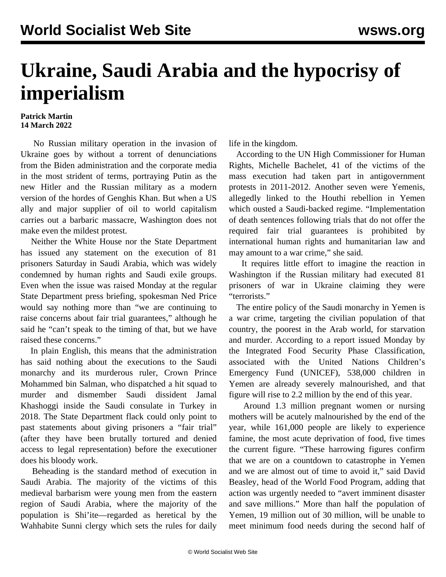## **Ukraine, Saudi Arabia and the hypocrisy of imperialism**

## **Patrick Martin 14 March 2022**

 No Russian military operation in the invasion of Ukraine goes by without a torrent of denunciations from the Biden administration and the corporate media in the most strident of terms, portraying Putin as the new Hitler and the Russian military as a modern version of the hordes of Genghis Khan. But when a US ally and major supplier of oil to world capitalism carries out a barbaric massacre, Washington does not make even the mildest protest.

 Neither the White House nor the State Department has issued any statement on the execution of 81 prisoners Saturday in Saudi Arabia, which was widely condemned by human rights and Saudi exile groups. Even when the issue was raised Monday at the regular State Department press briefing, spokesman Ned Price would say nothing more than "we are continuing to raise concerns about fair trial guarantees," although he said he "can't speak to the timing of that, but we have raised these concerns."

 In plain English, this means that the administration has said nothing about the executions to the Saudi monarchy and its murderous ruler, Crown Prince Mohammed bin Salman, who dispatched a hit squad to murder and dismember Saudi dissident Jamal Khashoggi inside the Saudi consulate in Turkey in 2018. The State Department flack could only point to past statements about giving prisoners a "fair trial" (after they have been brutally tortured and denied access to legal representation) before the executioner does his bloody work.

 Beheading is the standard method of execution in Saudi Arabia. The majority of the victims of this medieval barbarism were young men from the eastern region of Saudi Arabia, where the majority of the population is Shi'ite—regarded as heretical by the Wahhabite Sunni clergy which sets the rules for daily life in the kingdom.

 According to the UN High Commissioner for Human Rights, Michelle Bachelet, 41 of the victims of the mass execution had taken part in antigovernment protests in 2011-2012. Another seven were Yemenis, allegedly linked to the Houthi rebellion in Yemen which ousted a Saudi-backed regime. "Implementation of death sentences following trials that do not offer the required fair trial guarantees is prohibited by international human rights and humanitarian law and may amount to a war crime," she said.

 It requires little effort to imagine the reaction in Washington if the Russian military had executed 81 prisoners of war in Ukraine claiming they were "terrorists."

 The entire policy of the Saudi monarchy in Yemen is a war crime, targeting the civilian population of that country, the poorest in the Arab world, for starvation and murder. According to a report issued Monday by the Integrated Food Security Phase Classification, associated with the United Nations Children's Emergency Fund (UNICEF), 538,000 children in Yemen are already severely malnourished, and that figure will rise to 2.2 million by the end of this year.

 Around 1.3 million pregnant women or nursing mothers will be acutely malnourished by the end of the year, while 161,000 people are likely to experience famine, the most acute deprivation of food, five times the current figure. "These harrowing figures confirm that we are on a countdown to catastrophe in Yemen and we are almost out of time to avoid it," said David Beasley, head of the World Food Program, adding that action was urgently needed to "avert imminent disaster and save millions." More than half the population of Yemen, 19 million out of 30 million, will be unable to meet minimum food needs during the second half of